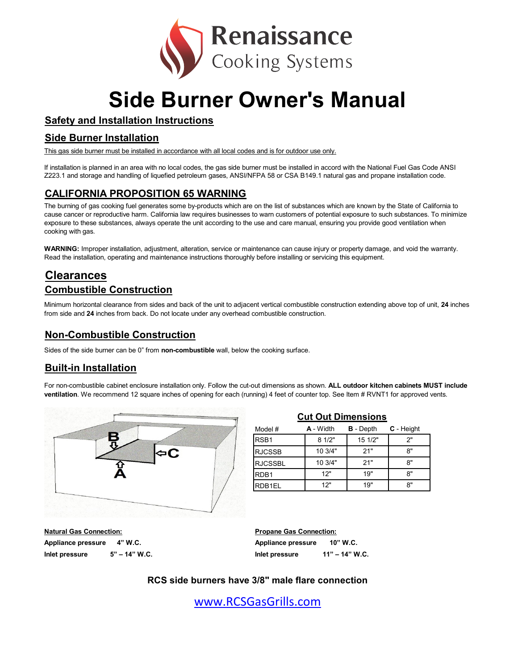

# **Side Burner Owner's Manual**

## **Safety and Installation Instructions**

#### **Side Burner Installation**

This gas side burner must be installed in accordance with all local codes and is for outdoor use only.

If installation is planned in an area with no local codes, the gas side burner must be installed in accord with the National Fuel Gas Code ANSI Z223.1 and storage and handling of liquefied petroleum gases, ANSI/NFPA 58 or CSA B149.1 natural gas and propane installation code.

## **CALIFORNIA PROPOSITION 65 WARNING**

The burning of gas cooking fuel generates some by-products which are on the list of substances which are known by the State of California to cause cancer or reproductive harm. California law requires businesses to warn customers of potential exposure to such substances. To minimize exposure to these substances, always operate the unit according to the use and care manual, ensuring you provide good ventilation when cooking with gas.

**WARNING:** Improper installation, adjustment, alteration, service or maintenance can cause injury or property damage, and void the warranty. Read the installation, operating and maintenance instructions thoroughly before installing or servicing this equipment.

# **Clearances Combustible Construction**

Minimum horizontal clearance from sides and back of the unit to adjacent vertical combustible construction extending above top of unit, **24** inches from side and **24** inches from back. Do not locate under any overhead combustible construction.

#### **Non-Combustible Construction**

Sides of the side burner can be 0" from **non-combustible** wall, below the cooking surface.

## **Built-in Installation**

For non-combustible cabinet enclosure installation only. Follow the cut-out dimensions as shown. **ALL outdoor kitchen cabinets MUST include ventilation**. We recommend 12 square inches of opening for each (running) 4 feet of counter top. See Item # RVNT1 for approved vents.



| 인기는 옷에도 되는 것이 모든 아이에 들어가고 있어?     |                                  |  |
|-----------------------------------|----------------------------------|--|
| <b>Natural Gas Connection:</b>    | <b>Propane Gas Connection:</b>   |  |
| Appliance pressure<br>4" W.C.     | Appliance pressure<br>10" W.C.   |  |
| $5" - 14"$ W.C.<br>Inlet pressure | 11" – 14" W.C.<br>Inlet pressure |  |

| Model #          | <b>A</b> - Width | <b>B</b> - Depth | C - Height |
|------------------|------------------|------------------|------------|
| RSB <sub>1</sub> | 81/2"            | 15 1/2"          | ን"         |
| <b>RJCSSB</b>    | 10 3/4"          | 21"              | 8"         |
| <b>RJCSSBL</b>   | 10 3/4"          | 21"              | 8"         |
| RDB <sub>1</sub> | 12"              | 19"              | 8"         |
| RDB1EL           | 12"              | 19"              | 8"         |
|                  |                  |                  |            |

**Cut Out Dimensions**

## **RCS side burners have 3/8" male flare connection**

[w](http://www.rcsgasgrills.com/)ww.RCSGasGrills.com